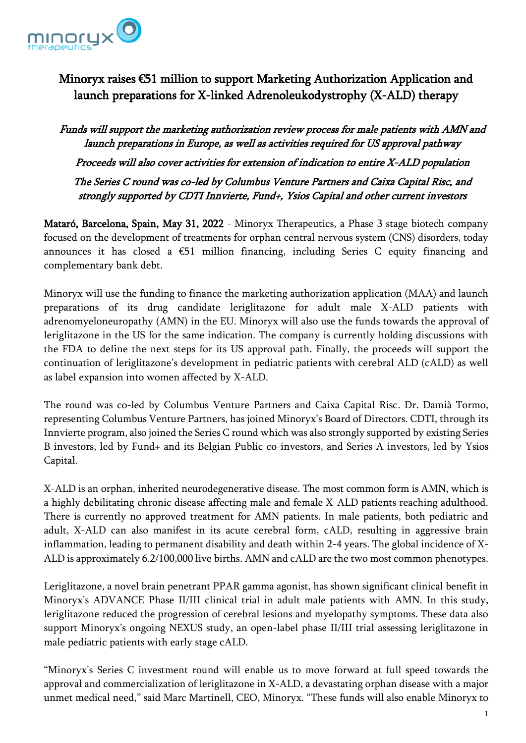

## Minoryx raises €51 million to support Marketing Authorization Application and launch preparations for X-linked Adrenoleukodystrophy (X-ALD) therapy

Funds will support the marketing authorization review process for male patients with AMN and launch preparations in Europe, as well as activities required for US approval pathway Proceeds will also cover activities for extension of indication to entire X-ALD population The Series C round was co-led by Columbus Venture Partners and Caixa Capital Risc, and strongly supported by CDTI Innvierte, Fund+, Ysios Capital and other current investors

Mataró, Barcelona, Spain, May 31, 2022 - Minoryx Therapeutics, a Phase 3 stage biotech company focused on the development of treatments for orphan central nervous system (CNS) disorders, today announces it has closed a €51 million financing, including Series C equity financing and complementary bank debt.

Minoryx will use the funding to finance the marketing authorization application (MAA) and launch preparations of its drug candidate leriglitazone for adult male X-ALD patients with adrenomyeloneuropathy (AMN) in the EU. Minoryx will also use the funds towards the approval of leriglitazone in the US for the same indication. The company is currently holding discussions with the FDA to define the next steps for its US approval path. Finally, the proceeds will support the continuation of leriglitazone's development in pediatric patients with cerebral ALD (cALD) as well as label expansion into women affected by X-ALD.

The round was co-led by Columbus Venture Partners and Caixa Capital Risc. Dr. Damià Tormo, representing Columbus Venture Partners, has joined Minoryx's Board of Directors. CDTI, through its Innvierte program, also joined the Series C round which was also strongly supported by existing Series B investors, led by Fund+ and its Belgian Public co-investors, and Series A investors, led by Ysios Capital.

X-ALD is an orphan, inherited neurodegenerative disease. The most common form is AMN, which is a highly debilitating chronic disease affecting male and female X-ALD patients reaching adulthood. There is currently no approved treatment for AMN patients. In male patients, both pediatric and adult, X-ALD can also manifest in its acute cerebral form, cALD, resulting in aggressive brain inflammation, leading to permanent disability and death within 2-4 years. The global incidence of X-ALD is approximately 6.2/100,000 live births. AMN and cALD are the two most common phenotypes.

Leriglitazone, a novel brain penetrant PPAR gamma agonist, has shown significant clinical benefit in Minoryx's ADVANCE Phase II/III clinical trial in adult male patients with AMN. In this study, leriglitazone reduced the progression of cerebral lesions and myelopathy symptoms. These data also support Minoryx's ongoing NEXUS study, an open-label phase II/III trial assessing leriglitazone in male pediatric patients with early stage cALD.

"Minoryx's Series C investment round will enable us to move forward at full speed towards the approval and commercialization of leriglitazone in X-ALD, a devastating orphan disease with a major unmet medical need," said Marc Martinell, CEO, Minoryx. "These funds will also enable Minoryx to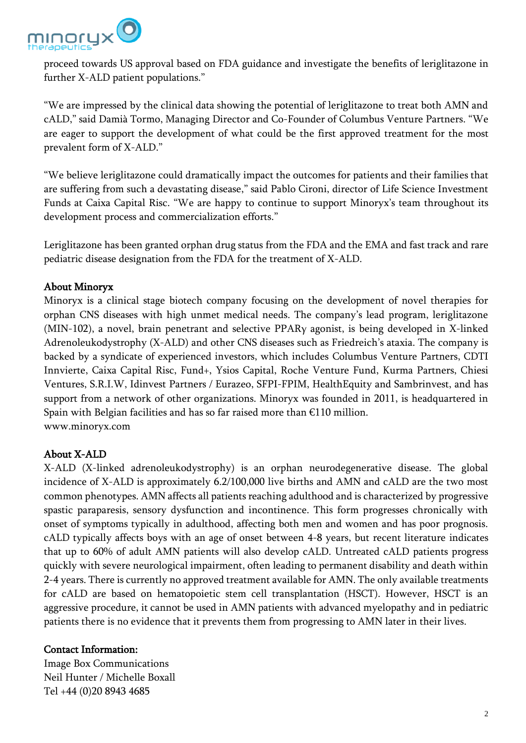

proceed towards US approval based on FDA guidance and investigate the benefits of leriglitazone in further X-ALD patient populations."

"We are impressed by the clinical data showing the potential of leriglitazone to treat both AMN and cALD," said Damià Tormo, Managing Director and Co-Founder of Columbus Venture Partners. "We are eager to support the development of what could be the first approved treatment for the most prevalent form of X-ALD."

"We believe leriglitazone could dramatically impact the outcomes for patients and their families that are suffering from such a devastating disease," said Pablo Cironi, director of Life Science Investment Funds at Caixa Capital Risc. "We are happy to continue to support Minoryx's team throughout its development process and commercialization efforts."

Leriglitazone has been granted orphan drug status from the FDA and the EMA and fast track and rare pediatric disease designation from the FDA for the treatment of X-ALD.

## About Minoryx

Minoryx is a clinical stage biotech company focusing on the development of novel therapies for orphan CNS diseases with high unmet medical needs. The company's lead program, leriglitazone (MIN-102), a novel, brain penetrant and selective PPARγ agonist, is being developed in X-linked Adrenoleukodystrophy (X-ALD) and other CNS diseases such as Friedreich's ataxia. The company is backed by a syndicate of experienced investors, which includes Columbus Venture Partners, CDTI Innvierte, Caixa Capital Risc, Fund+, Ysios Capital, Roche Venture Fund, Kurma Partners, Chiesi Ventures, S.R.I.W, Idinvest Partners / Eurazeo, SFPI-FPIM, HealthEquity and Sambrinvest, and has support from a network of other organizations. Minoryx was founded in 2011, is headquartered in Spain with Belgian facilities and has so far raised more than €110 million. www.minoryx.com

## About X-ALD

X-ALD (X-linked adrenoleukodystrophy) is an orphan neurodegenerative disease. The global incidence of X-ALD is approximately 6.2/100,000 live births and AMN and cALD are the two most common phenotypes. AMN affects all patients reaching adulthood and is characterized by progressive spastic paraparesis, sensory dysfunction and incontinence. This form progresses chronically with onset of symptoms typically in adulthood, affecting both men and women and has poor prognosis. cALD typically affects boys with an age of onset between 4-8 years, but recent literature indicates that up to 60% of adult AMN patients will also develop cALD. Untreated cALD patients progress quickly with severe neurological impairment, often leading to permanent disability and death within 2-4 years. There is currently no approved treatment available for AMN. The only available treatments for cALD are based on hematopoietic stem cell transplantation (HSCT). However, HSCT is an aggressive procedure, it cannot be used in AMN patients with advanced myelopathy and in pediatric patients there is no evidence that it prevents them from progressing to AMN later in their lives.

## Contact Information:

Image Box Communications Neil Hunter / Michelle Boxall Tel +44 (0)20 8943 4685